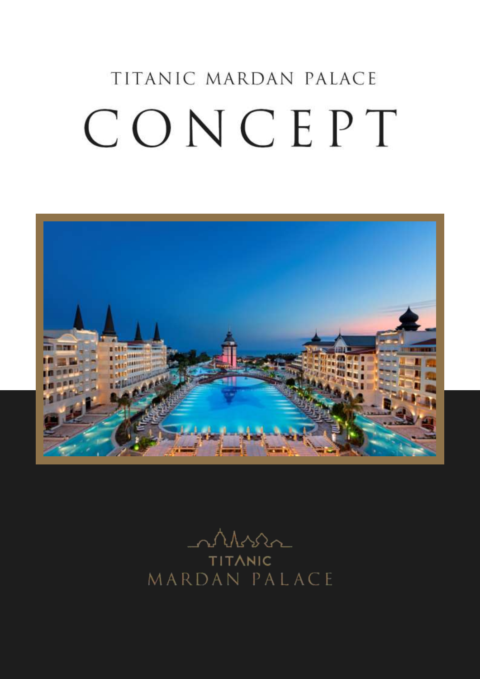# TITANIC MARDAN PALACE CONCEPT



Mssa **TITANIC** MARDAN PALACE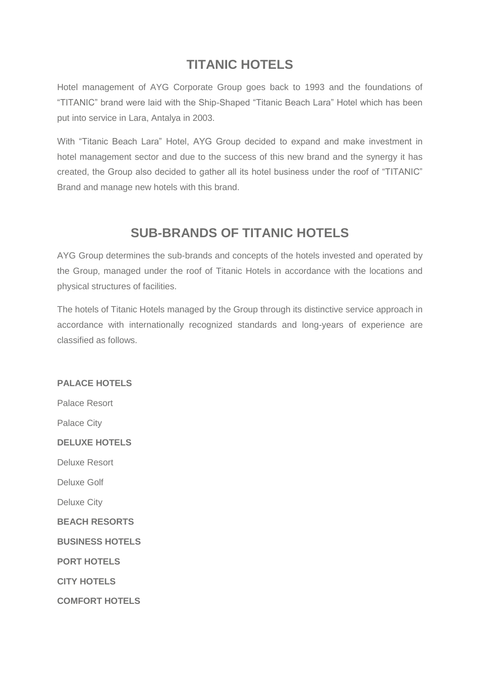# **TITANIC HOTELS**

Hotel management of AYG Corporate Group goes back to 1993 and the foundations of "TITANIC" brand were laid with the Ship-Shaped "Titanic Beach Lara" Hotel which has been put into service in Lara, Antalya in 2003.

With "Titanic Beach Lara" Hotel, AYG Group decided to expand and make investment in hotel management sector and due to the success of this new brand and the synergy it has created, the Group also decided to gather all its hotel business under the roof of "TITANIC" Brand and manage new hotels with this brand.

## **SUB-BRANDS OF TITANIC HOTELS**

AYG Group determines the sub-brands and concepts of the hotels invested and operated by the Group, managed under the roof of Titanic Hotels in accordance with the locations and physical structures of facilities.

The hotels of Titanic Hotels managed by the Group through its distinctive service approach in accordance with internationally recognized standards and long-years of experience are classified as follows.

#### **PALACE HOTELS**

Palace Resort

Palace City

**DELUXE HOTELS**

Deluxe Resort

Deluxe Golf

Deluxe City

**BEACH RESORTS**

**BUSINESS HOTELS**

**PORT HOTELS**

**CITY HOTELS**

**COMFORT HOTELS**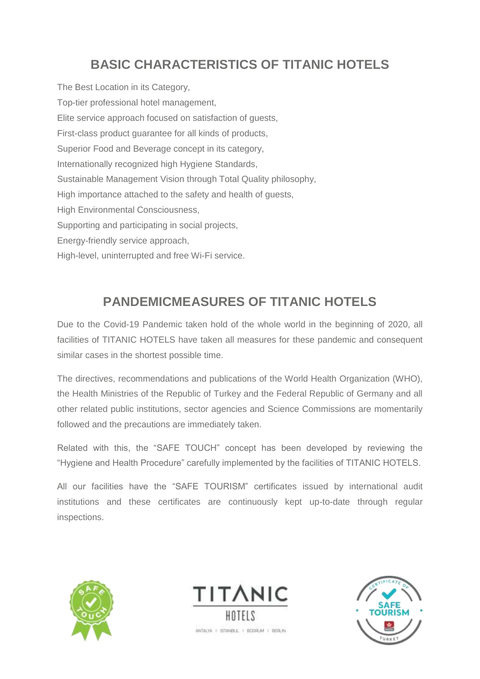# **BASIC CHARACTERISTICS OF TITANIC HOTELS**

The Best Location in its Category, Top-tier professional hotel management, Elite service approach focused on satisfaction of guests, First-class product guarantee for all kinds of products, Superior Food and Beverage concept in its category, Internationally recognized high Hygiene Standards, Sustainable Management Vision through Total Quality philosophy, High importance attached to the safety and health of guests, High Environmental Consciousness, Supporting and participating in social projects, Energy-friendly service approach, High-level, uninterrupted and free Wi-Fi service.

# **PANDEMICMEASURES OF TITANIC HOTELS**

Due to the Covid-19 Pandemic taken hold of the whole world in the beginning of 2020, all facilities of TITANIC HOTELS have taken all measures for these pandemic and consequent similar cases in the shortest possible time.

The directives, recommendations and publications of the World Health Organization (WHO), the Health Ministries of the Republic of Turkey and the Federal Republic of Germany and all other related public institutions, sector agencies and Science Commissions are momentarily followed and the precautions are immediately taken.

Related with this, the "SAFE TOUCH" concept has been developed by reviewing the "Hygiene and Health Procedure" carefully implemented by the facilities of TITANIC HOTELS.

All our facilities have the "SAFE TOURISM" certificates issued by international audit institutions and these certificates are continuously kept up-to-date through regular inspections.





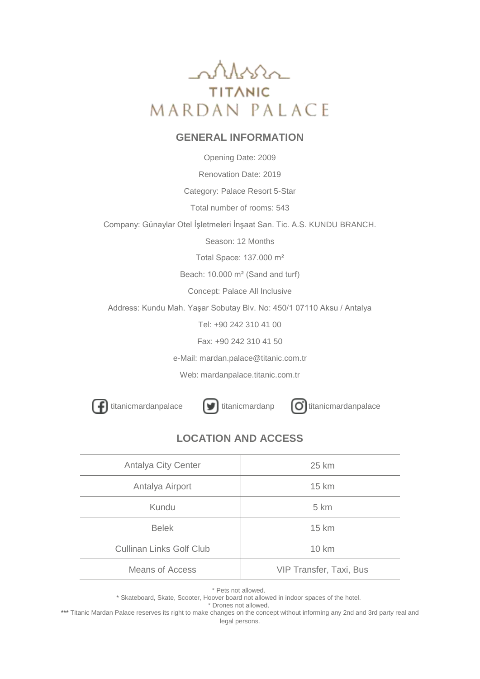

#### **GENERAL INFORMATION**

Opening Date: 2009

Renovation Date: 2019

Category: Palace Resort 5-Star

Total number of rooms: 543

Company: Günaylar Otel İşletmeleri İnşaat San. Tic. A.S. KUNDU BRANCH.

Season: 12 Months

Total Space: 137.000 m²

Beach: 10.000 m² (Sand and turf)

Concept: Palace All Inclusive

Address: Kundu Mah. Yaşar Sobutay Blv. No: 450/1 07110 Aksu / Antalya

Tel: +90 242 310 41 00

Fax: +90 242 310 41 50

e-Mail: mardan.palace@titanic.com.tr

Web: mardanpalace.titanic.com.tr

[titanicmardanpalace](https://www.instagram.com/titanicmardanpalace)  $\left[\bigcup\right]$  [titanicmardanp](https://twitter.com/titanicmardanp)  $\left[\bigcirc\right]$  titanicmardanpalace

#### **LOCATION AND ACCESS**

| Antalya City Center             | 25 km                   |
|---------------------------------|-------------------------|
| Antalya Airport                 | 15 km                   |
| Kundu                           | 5 km                    |
| <b>Belek</b>                    | 15 km                   |
| <b>Cullinan Links Golf Club</b> | 10 km                   |
| Means of Access                 | VIP Transfer, Taxi, Bus |

\* Pets not allowed.

\* Skateboard, Skate, Scooter, Hoover board not allowed in indoor spaces of the hotel.

\* Drones not allowed.

**\*\*\*** Titanic Mardan Palace reserves its right to make changes on the concept without informing any 2nd and 3rd party real and legal persons.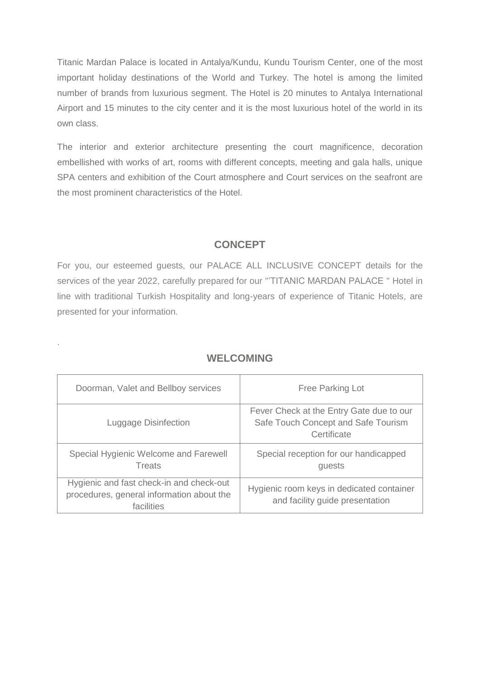Titanic Mardan Palace is located in Antalya/Kundu, Kundu Tourism Center, one of the most important holiday destinations of the World and Turkey. The hotel is among the limited number of brands from luxurious segment. The Hotel is 20 minutes to Antalya International Airport and 15 minutes to the city center and it is the most luxurious hotel of the world in its own class.

The interior and exterior architecture presenting the court magnificence, decoration embellished with works of art, rooms with different concepts, meeting and gala halls, unique SPA centers and exhibition of the Court atmosphere and Court services on the seafront are the most prominent characteristics of the Hotel.

#### **CONCEPT**

For you, our esteemed guests, our PALACE ALL INCLUSIVE CONCEPT details for the services of the year 2022, carefully prepared for our "'TITANIC MARDAN PALACE " Hotel in line with traditional Turkish Hospitality and long-years of experience of Titanic Hotels, are presented for your information.

| Doorman, Valet and Bellboy services                                                                 | <b>Free Parking Lot</b>                                                                        |
|-----------------------------------------------------------------------------------------------------|------------------------------------------------------------------------------------------------|
| Luggage Disinfection                                                                                | Fever Check at the Entry Gate due to our<br>Safe Touch Concept and Safe Tourism<br>Certificate |
| Special Hygienic Welcome and Farewell<br>Treats                                                     | Special reception for our handicapped<br>guests                                                |
| Hygienic and fast check-in and check-out<br>procedures, general information about the<br>facilities | Hygienic room keys in dedicated container<br>and facility guide presentation                   |

#### **WELCOMING**

.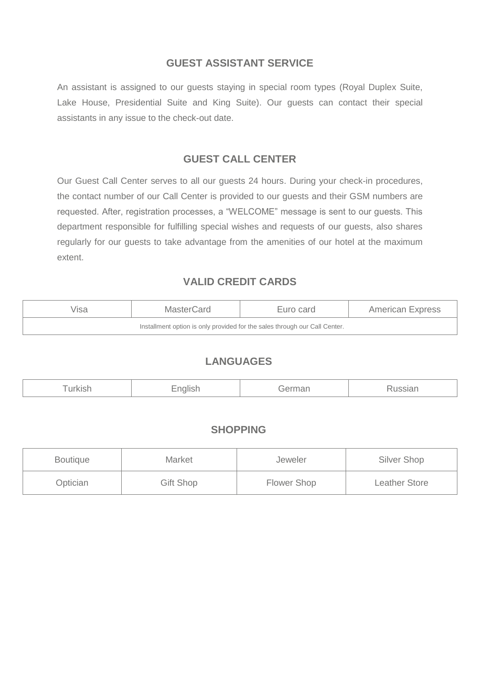#### **GUEST ASSISTANT SERVICE**

An assistant is assigned to our guests staying in special room types (Royal Duplex Suite, Lake House, Presidential Suite and King Suite). Our guests can contact their special assistants in any issue to the check-out date.

#### **GUEST CALL CENTER**

Our Guest Call Center serves to all our guests 24 hours. During your check-in procedures, the contact number of our Call Center is provided to our guests and their GSM numbers are requested. After, registration processes, a "WELCOME" message is sent to our guests. This department responsible for fulfilling special wishes and requests of our guests, also shares regularly for our guests to take advantage from the amenities of our hotel at the maximum extent.

#### **VALID CREDIT CARDS**

| √isa | MasterCard | Euro card | <b>American Express</b> |
|------|------------|-----------|-------------------------|
|      |            |           |                         |

#### **LANGUAGES**

|--|--|--|

#### **SHOPPING**

| <b>Boutique</b> | <b>Market</b>    | Jeweler     | Silver Shop   |
|-----------------|------------------|-------------|---------------|
| Optician        | <b>Gift Shop</b> | Flower Shop | Leather Store |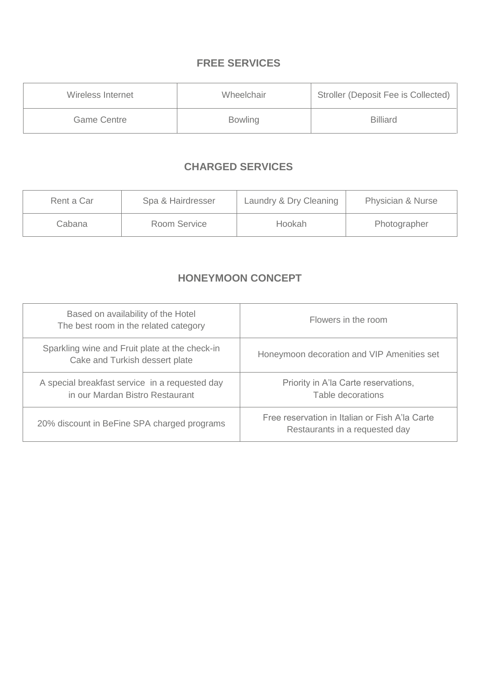## **FREE SERVICES**

| Wireless Internet | Wheelchair     | Stroller (Deposit Fee is Collected) |
|-------------------|----------------|-------------------------------------|
| Game Centre       | <b>Bowling</b> | <b>Billiard</b>                     |

## **CHARGED SERVICES**

| Rent a Car | Spa & Hairdresser | Laundry & Dry Cleaning | <b>Physician &amp; Nurse</b> |
|------------|-------------------|------------------------|------------------------------|
| Cabana     | Room Service      | Hookah                 | Photographer                 |

## **HONEYMOON CONCEPT**

| Based on availability of the Hotel<br>The best room in the related category       | Flowers in the room                                                              |
|-----------------------------------------------------------------------------------|----------------------------------------------------------------------------------|
| Sparkling wine and Fruit plate at the check-in<br>Cake and Turkish dessert plate  | Honeymoon decoration and VIP Amenities set                                       |
| A special breakfast service in a requested day<br>in our Mardan Bistro Restaurant | Priority in A'la Carte reservations,<br>Table decorations                        |
| 20% discount in BeFine SPA charged programs                                       | Free reservation in Italian or Fish A'la Carte<br>Restaurants in a requested day |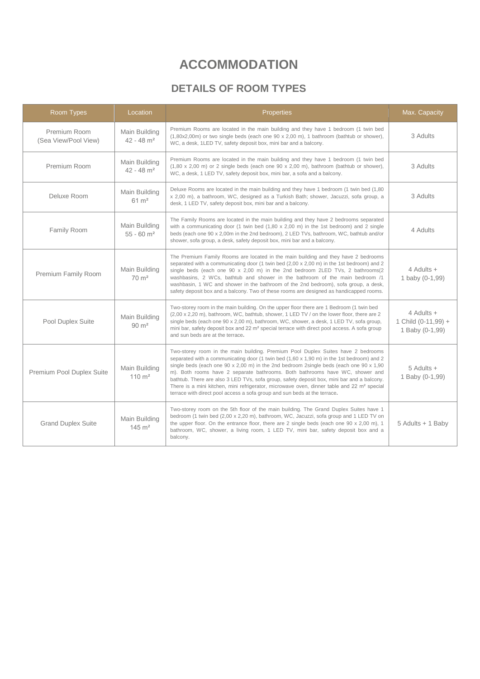# **ACCOMMODATION**

## **DETAILS OF ROOM TYPES**

| Room Types                           | Location                                  | Properties                                                                                                                                                                                                                                                                                                                                                                                                                                                                                                                                                                                                                                                 | Max. Capacity                                        |
|--------------------------------------|-------------------------------------------|------------------------------------------------------------------------------------------------------------------------------------------------------------------------------------------------------------------------------------------------------------------------------------------------------------------------------------------------------------------------------------------------------------------------------------------------------------------------------------------------------------------------------------------------------------------------------------------------------------------------------------------------------------|------------------------------------------------------|
| Premium Room<br>(Sea View/Pool View) | Main Building<br>$42 - 48$ m <sup>2</sup> | Premium Rooms are located in the main building and they have 1 bedroom (1 twin bed<br>$(1,80x2,00m)$ or two single beds (each one $90 \times 2,00 m$ ), 1 bathroom (bathtub or shower),<br>WC, a desk, 1LED TV, safety deposit box, mini bar and a balcony.                                                                                                                                                                                                                                                                                                                                                                                                | 3 Adults                                             |
| Premium Room                         | Main Building<br>$42 - 48$ m <sup>2</sup> | Premium Rooms are located in the main building and they have 1 bedroom (1 twin bed<br>$(1,80 \times 2,00 \text{ m})$ or 2 single beds (each one 90 x 2,00 m), bathroom (bathtub or shower),<br>WC, a desk, 1 LED TV, safety deposit box, mini bar, a sofa and a balcony.                                                                                                                                                                                                                                                                                                                                                                                   | 3 Adults                                             |
| Deluxe Room                          | Main Building<br>$61 \text{ m}^2$         | Deluxe Rooms are located in the main building and they have 1 bedroom (1 twin bed (1,80)<br>x 2,00 m), a bathroom, WC, designed as a Turkish Bath; shower, Jacuzzi, sofa group, a<br>desk, 1 LED TV, safety deposit box, mini bar and a balcony.                                                                                                                                                                                                                                                                                                                                                                                                           | 3 Adults                                             |
| Family Room                          | Main Building<br>$55 - 60$ m <sup>2</sup> | The Family Rooms are located in the main building and they have 2 bedrooms separated<br>with a communicating door (1 twin bed $(1,80 \times 2,00 \text{ m})$ in the 1st bedroom) and 2 single<br>beds (each one 90 x 2,00m in the 2nd bedroom), 2 LED TVs, bathroom, WC, bathtub and/or<br>shower, sofa group, a desk, safety deposit box, mini bar and a balcony.                                                                                                                                                                                                                                                                                         | 4 Adults                                             |
| Premium Family Room                  | Main Building<br>$70 \text{ m}^2$         | The Premium Family Rooms are located in the main building and they have 2 bedrooms<br>separated with a communicating door (1 twin bed (2,00 x 2,00 m) in the 1st bedroom) and 2<br>single beds (each one 90 x 2,00 m) in the 2nd bedroom 2LED TVs, 2 bathrooms(2<br>washbasins, 2 WCs, bathtub and shower in the bathroom of the main bedroom /1<br>washbasin, 1 WC and shower in the bathroom of the 2nd bedroom), sofa group, a desk,<br>safety deposit box and a balcony. Two of these rooms are designed as handicapped rooms.                                                                                                                         | 4 Adults +<br>1 baby (0-1,99)                        |
| Pool Duplex Suite                    | Main Building<br>$90 \text{ m}^2$         | Two-storey room in the main building. On the upper floor there are 1 Bedroom (1 twin bed<br>(2,00 x 2,20 m), bathroom, WC, bathtub, shower, 1 LED TV / on the lower floor, there are 2<br>single beds (each one 90 x 2,00 m), bathroom, WC, shower, a desk, 1 LED TV, sofa group,<br>mini bar, safety deposit box and 22 m <sup>2</sup> special terrace with direct pool access. A sofa group<br>and sun beds are at the terrace.                                                                                                                                                                                                                          | 4 Adults +<br>1 Child (0-11,99) +<br>1 Baby (0-1,99) |
| Premium Pool Duplex Suite            | Main Building<br>$110 \; \text{m}^2$      | Two-storey room in the main building. Premium Pool Duplex Suites have 2 bedrooms<br>separated with a communicating door (1 twin bed (1,60 x 1,90 m) in the 1st bedroom) and 2<br>single beds (each one $90 \times 2,00$ m) in the 2nd bedroom 2single beds (each one $90 \times 1,90$<br>m). Both rooms have 2 separate bathrooms. Both bathrooms have WC, shower and<br>bathtub. There are also 3 LED TVs, sofa group, safety deposit box, mini bar and a balcony.<br>There is a mini kitchen, mini refrigerator, microwave oven, dinner table and 22 m <sup>2</sup> special<br>terrace with direct pool access a sofa group and sun beds at the terrace. | $5$ Adults $+$<br>1 Baby (0-1,99)                    |
| <b>Grand Duplex Suite</b>            | Main Building<br>$145 \; \mathrm{m}^2$    | Two-storey room on the 5th floor of the main building. The Grand Duplex Suites have 1<br>bedroom (1 twin bed (2,00 x 2,20 m), bathroom, WC, Jacuzzi, sofa group and 1 LED TV on<br>the upper floor. On the entrance floor, there are 2 single beds (each one $90 \times 2,00 \text{ m}$ ), 1<br>bathroom, WC, shower, a living room, 1 LED TV, mini bar, safety deposit box and a<br>balcony.                                                                                                                                                                                                                                                              | 5 Adults + 1 Baby                                    |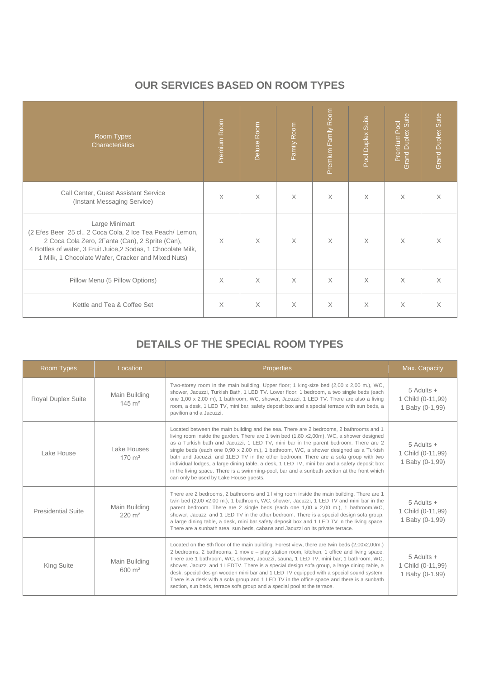## **OUR SERVICES BASED ON ROOM TYPES**

| Room Types<br><b>Characteristics</b>                                                                                                                                                                                                                  | Premium Room | Deluxe Room | Family Room | Premium Family Room | Pool Duplex Suite | Duplex Suite<br>Premium Pool<br>Grand I | <b>Grand Duplex Suite</b> |
|-------------------------------------------------------------------------------------------------------------------------------------------------------------------------------------------------------------------------------------------------------|--------------|-------------|-------------|---------------------|-------------------|-----------------------------------------|---------------------------|
| Call Center, Guest Assistant Service<br>(Instant Messaging Service)                                                                                                                                                                                   | $\times$     | X           | X           | $\times$            | X                 | X                                       | $\times$                  |
| Large Minimart<br>(2 Efes Beer 25 cl., 2 Coca Cola, 2 Ice Tea Peach/ Lemon,<br>2 Coca Cola Zero, 2Fanta (Can), 2 Sprite (Can),<br>4 Bottles of water, 3 Fruit Juice, 2 Sodas, 1 Chocolate Milk,<br>1 Milk, 1 Chocolate Wafer, Cracker and Mixed Nuts) | $\times$     | $\times$    | $\times$    | $\times$            | X                 | $\times$                                | $\times$                  |
| Pillow Menu (5 Pillow Options)                                                                                                                                                                                                                        | $\times$     | $\times$    | $\times$    | $\times$            | $\times$          | $\times$                                | $\times$                  |
| Kettle and Tea & Coffee Set                                                                                                                                                                                                                           | $\times$     | X           | X           | $\times$            | X                 | $\times$                                | $\times$                  |

## **DETAILS OF THE SPECIAL ROOM TYPES**

| Room Types                | Location                               | <b>Properties</b>                                                                                                                                                                                                                                                                                                                                                                                                                                                                                                                                                                                                                                                                                   | Max. Capacity                                          |
|---------------------------|----------------------------------------|-----------------------------------------------------------------------------------------------------------------------------------------------------------------------------------------------------------------------------------------------------------------------------------------------------------------------------------------------------------------------------------------------------------------------------------------------------------------------------------------------------------------------------------------------------------------------------------------------------------------------------------------------------------------------------------------------------|--------------------------------------------------------|
| <b>Royal Duplex Suite</b> | Main Building<br>$145 \text{ m}^2$     | Two-storey room in the main building. Upper floor: 1 king-size bed (2,00 x 2,00 m.), WC,<br>shower, Jacuzzi, Turkish Bath, 1 LED TV. Lower floor; 1 bedroom, a two single beds (each<br>one 1,00 x 2,00 m), 1 bathroom, WC, shower, Jacuzzi, 1 LED TV. There are also a living<br>room, a desk, 1 LED TV, mini bar, safety deposit box and a special terrace with sun beds, a<br>pavilion and a Jacuzzi.                                                                                                                                                                                                                                                                                            | $5$ Adults $+$<br>1 Child (0-11,99)<br>1 Baby (0-1,99) |
| Lake House                | Lake Houses<br>$170 \; \text{m}^2$     | Located between the main building and the sea. There are 2 bedrooms, 2 bathrooms and 1<br>living room inside the garden. There are 1 twin bed (1,80 x2,00m), WC, a shower designed<br>as a Turkish bath and Jacuzzi, 1 LED TV, mini bar in the parent bedroom. There are 2<br>single beds (each one 0,90 x 2,00 m.), 1 bathroom, WC, a shower designed as a Turkish<br>bath and Jacuzzi, and 1LED TV in the other bedroom. There are a sofa group with two<br>individual lodges, a large dining table, a desk, 1 LED TV, mini bar and a safety deposit box<br>in the living space. There is a swimming-pool, bar and a sunbath section at the front which<br>can only be used by Lake House quests. | $5$ Adults $+$<br>1 Child (0-11,99)<br>1 Baby (0-1,99) |
| <b>Presidential Suite</b> | Main Building<br>$220 \text{ m}^2$     | There are 2 bedrooms, 2 bathrooms and 1 living room inside the main building. There are 1<br>twin bed (2,00 x2,00 m.), 1 bathroom, WC, shower, Jacuzzi, 1 LED TV and mini bar in the<br>parent bedroom. There are 2 single beds (each one 1,00 x 2,00 m.), 1 bathroom, WC,<br>shower, Jacuzzi and 1 LED TV in the other bedroom. There is a special design sofa group,<br>a large dining table, a desk, mini bar, safety deposit box and 1 LED TV in the living space.<br>There are a sunbath area, sun beds, cabana and Jacuzzi on its private terrace.                                                                                                                                            | 5 Adults +<br>1 Child (0-11,99)<br>1 Baby (0-1,99)     |
| <b>King Suite</b>         | Main Building<br>$600 \; \mathrm{m}^2$ | Located on the 8th floor of the main building. Forest view, there are twin beds (2,00x2,00m.)<br>2 bedrooms, 2 bathrooms, 1 movie – play station room, kitchen, 1 office and living space.<br>There are 1 bathroom, WC, shower, Jacuzzi, sauna, 1 LED TV, mini bar; 1 bathroom, WC,<br>shower, Jacuzzi and 1 LEDTV. There is a special design sofa group, a large dining table, a<br>desk, special design wooden mini bar and 1 LED TV equipped with a special sound system.<br>There is a desk with a sofa group and 1 LED TV in the office space and there is a sunbath<br>section, sun beds, terrace sofa group and a special pool at the terrace.                                               | 5 Adults +<br>1 Child (0-11,99)<br>1 Baby (0-1,99)     |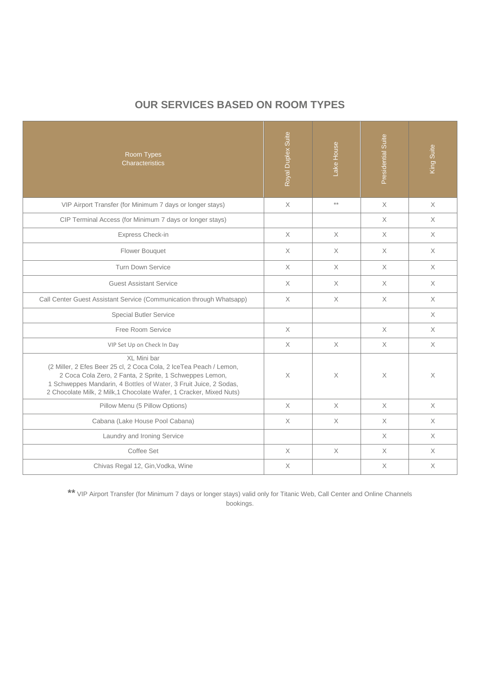## **OUR SERVICES BASED ON ROOM TYPES**

| Room Types<br>Characteristics                                                                                                                                                                                                                                                            | Royal Duplex Suite | Lake House      | Presidential Suite                                                    | King Suite  |
|------------------------------------------------------------------------------------------------------------------------------------------------------------------------------------------------------------------------------------------------------------------------------------------|--------------------|-----------------|-----------------------------------------------------------------------|-------------|
| VIP Airport Transfer (for Minimum 7 days or longer stays)                                                                                                                                                                                                                                | $\mathsf X$        | $^{\star\star}$ | $\mathsf{X}% _{\mathsf{X}}^{\prime}=\mathsf{X}_{\mathsf{X}}^{\prime}$ | $\mathsf X$ |
| CIP Terminal Access (for Minimum 7 days or longer stays)                                                                                                                                                                                                                                 |                    |                 | $\times$                                                              | X           |
| Express Check-in                                                                                                                                                                                                                                                                         | $\times$           | $\times$        | $\times$                                                              | X           |
| Flower Bouquet                                                                                                                                                                                                                                                                           | $\times$           | $\times$        | $\times$                                                              | $\times$    |
| <b>Turn Down Service</b>                                                                                                                                                                                                                                                                 | X                  | $\times$        | X                                                                     | $\times$    |
| <b>Guest Assistant Service</b>                                                                                                                                                                                                                                                           | X                  | $\times$        | $\times$                                                              | X           |
| Call Center Guest Assistant Service (Communication through Whatsapp)                                                                                                                                                                                                                     | $\times$           | $\times$        | $\times$                                                              | $\times$    |
| <b>Special Butler Service</b>                                                                                                                                                                                                                                                            |                    |                 |                                                                       | $\times$    |
| Free Room Service                                                                                                                                                                                                                                                                        | $\times$           |                 | $\times$                                                              | $\times$    |
| VIP Set Up on Check In Day                                                                                                                                                                                                                                                               | $\times$           | $\times$        | $\times$                                                              | X           |
| XL Mini bar<br>(2 Miller, 2 Efes Beer 25 cl, 2 Coca Cola, 2 IceTea Peach / Lemon,<br>2 Coca Cola Zero, 2 Fanta, 2 Sprite, 1 Schweppes Lemon,<br>1 Schweppes Mandarin, 4 Bottles of Water, 3 Fruit Juice, 2 Sodas,<br>2 Chocolate Milk, 2 Milk, 1 Chocolate Wafer, 1 Cracker, Mixed Nuts) | $\times$           | $\times$        | $\times$                                                              | Χ           |
| Pillow Menu (5 Pillow Options)                                                                                                                                                                                                                                                           | $\times$           | $\times$        | $\times$                                                              | $\times$    |
| Cabana (Lake House Pool Cabana)                                                                                                                                                                                                                                                          | $\times$           | $\times$        | $\times$                                                              | $\times$    |
| Laundry and Ironing Service                                                                                                                                                                                                                                                              |                    |                 | $\times$                                                              | $\times$    |
| Coffee Set                                                                                                                                                                                                                                                                               | $\times$           | $\mathsf X$     | $\times$                                                              | X           |
| Chivas Regal 12, Gin, Vodka, Wine                                                                                                                                                                                                                                                        | X                  |                 | $\boldsymbol{\times}$                                                 | Χ           |

**\*\*** VIP Airport Transfer (for Minimum 7 days or longer stays) valid only for Titanic Web, Call Center and Online Channels bookings.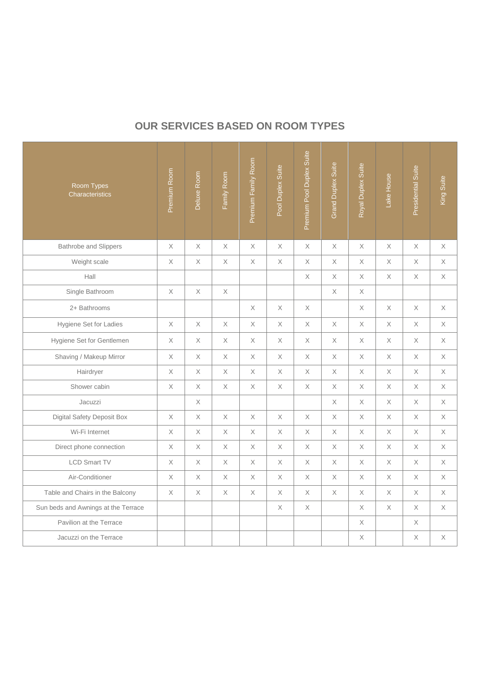## **OUR SERVICES BASED ON ROOM TYPES**

| Room Types<br>Characteristics       | Premium Room | Deluxe Room | Family Room | Premium Family Room | Pool Duplex Suite | Premium Pool Duplex Suite | Grand Duplex Suite | Royal Duplex Suite | Lake House  | Presidential Suite | King Suite  |
|-------------------------------------|--------------|-------------|-------------|---------------------|-------------------|---------------------------|--------------------|--------------------|-------------|--------------------|-------------|
| <b>Bathrobe and Slippers</b>        | $\times$     | $\times$    | X           | $\times$            | $\times$          | $\times$                  | $\times$           | $\times$           | $\times$    | $\times$           | X           |
| Weight scale                        | X            | X           | X           | X                   | X                 | $\times$                  | X                  | X                  | $\times$    | X                  | X           |
| Hall                                |              |             |             |                     |                   | X                         | X                  | X                  | $\times$    | X                  | X           |
| Single Bathroom                     | X            | $\mathsf X$ | $\mathsf X$ |                     |                   |                           | X                  | X                  |             |                    |             |
| 2+ Bathrooms                        |              |             |             | X                   | X                 | X                         |                    | X                  | X           | X                  | X           |
| Hygiene Set for Ladies              | X            | $\mathsf X$ | X           | X                   | X                 | $\mathsf X$               | $\mathsf X$        | X                  | $\mathsf X$ | X                  | X           |
| Hygiene Set for Gentlemen           | $\times$     | $\mathsf X$ | X           | X                   | X                 | $\mathsf X$               | X                  | X                  | X           | X                  | X           |
| Shaving / Makeup Mirror             | $\times$     | X           | X           | X                   | $\times$          | $\times$                  | X                  | X                  | $\times$    | $\times$           | X           |
| Hairdryer                           | X            | X           | X           | X                   | X                 | $\times$                  | X                  | X                  | $\times$    | Χ                  | X           |
| Shower cabin                        | X            | X           | X           | X                   | $\mathsf X$       | $\mathsf X$               | X                  | X                  | X           | X                  | X           |
| Jacuzzi                             |              | Χ           |             |                     |                   |                           | Χ                  | Χ                  | X           | Χ                  | Χ           |
| <b>Digital Safety Deposit Box</b>   | $\times$     | $\mathsf X$ | $\times$    | $\times$            | $\times$          | $\times$                  | $\times$           | $\times$           | $\times$    | $\times$           | $\mathsf X$ |
| Wi-Fi Internet                      | $\times$     | X           | $\times$    | $\times$            | X                 | $\times$                  | X                  | $\times$           | $\times$    | $\times$           | X           |
| Direct phone connection             | X            | X           | X           | X                   | X                 | $\mathsf X$               | X                  | X                  | X           | X                  | X           |
| <b>LCD Smart TV</b>                 | X            | X           | X           | X                   | X                 | X                         | X                  | X                  | X           | X                  | X           |
| Air-Conditioner                     | X            | $\mathsf X$ | Χ           | X                   | X                 | $\mathsf X$               | X                  | X                  | X           | Χ                  | X           |
| Table and Chairs in the Balcony     | $\times$     | $\times$    | $\times$    | $\times$            | $\times$          | $\times$                  | $\times$           | $\times$           | $\times$    | $\times$           | $\times$    |
| Sun beds and Awnings at the Terrace |              |             |             |                     | X                 | X                         |                    | X                  | $\times$    | $\times$           | X           |
| Pavilion at the Terrace             |              |             |             |                     |                   |                           |                    | X                  |             | X                  |             |
| Jacuzzi on the Terrace              |              |             |             |                     |                   |                           |                    | $\chi$             |             | X                  | $\mathsf X$ |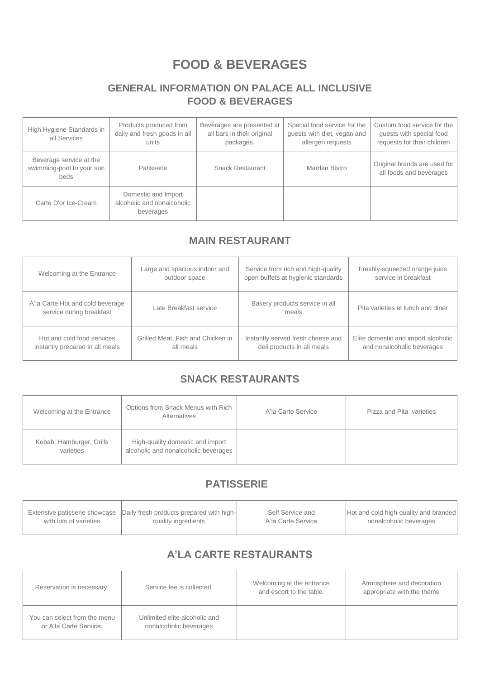# **FOOD & BEVERAGES**

## **GENERAL INFORMATION ON PALACE ALL INCLUSIVE FOOD & BEVERAGES**

| High Hygiene Standards in<br>all Services                    | Products produced from<br>daily and fresh goods in all<br>units | Beverages are presented at<br>all bars in their original<br>packages. | Special food service for the<br>guests with diet, vegan and<br>allergen requests | Custom food service for the<br>guests with special food<br>requests for their children |
|--------------------------------------------------------------|-----------------------------------------------------------------|-----------------------------------------------------------------------|----------------------------------------------------------------------------------|----------------------------------------------------------------------------------------|
| Beverage service at the<br>swimming-pool to your sun<br>beds | Patisserie                                                      | <b>Snack Restaurant</b>                                               | Mardan Bistro                                                                    | Original brands are used for<br>all foods and beverages                                |
| Carte D'or Ice-Cream                                         | Domestic and Import<br>alcoholic and nonalcoholic<br>beverages  |                                                                       |                                                                                  |                                                                                        |

## **MAIN RESTAURANT**

| Welcoming at the Entrance                                    | Large and spacious indoor and     | Service from rich and high-quality      | Freshly-squeezed orange juice       |
|--------------------------------------------------------------|-----------------------------------|-----------------------------------------|-------------------------------------|
|                                                              | outdoor space                     | open buffets at hygienic standards      | service in breakfast                |
| A'la Carte Hot and cold beverage<br>service during breakfast | Late Breakfast service            | Bakery products service in all<br>meals | Pita varieties at lunch and diner   |
| Hot and cold food services                                   | Grilled Meat, Fish and Chicken in | Instantly served fresh cheese and       | Elite domestic and import alcoholic |
| instantly prepared in all meals                              | all meals                         | deli products in all meals              | and nonalcoholic beverages          |

## **SNACK RESTAURANTS**

| Welcoming at the Entrance             | Options from Snack Menus with Rich<br>Alternatives                       | A'la Carte Service | Pizza and Pita varieties |
|---------------------------------------|--------------------------------------------------------------------------|--------------------|--------------------------|
| Kebab, Hamburger, Grills<br>varieties | High-quality domestic and import<br>alcoholic and nonalcoholic beverages |                    |                          |

## **PATISSERIE**

|                        | Extensive patisserie showcase Daily fresh products prepared with high- | Self Service and   | Hot and cold high-quality and branded |
|------------------------|------------------------------------------------------------------------|--------------------|---------------------------------------|
| with lots of varieties | quality ingredients                                                    | A'la Carte Service | nonalcoholic beverages                |
|                        |                                                                        |                    |                                       |

## **A'LA CARTE RESTAURANTS**

| Reservation is necessary.                              | Service fee is collected.                               | Welcoming at the entrance<br>and escort to the table. | Atmosphere and decoration<br>appropriate with the theme |
|--------------------------------------------------------|---------------------------------------------------------|-------------------------------------------------------|---------------------------------------------------------|
| You can select from the menu<br>or A'la Carte Service. | Unlimited elite alcoholic and<br>nonalcoholic beverages |                                                       |                                                         |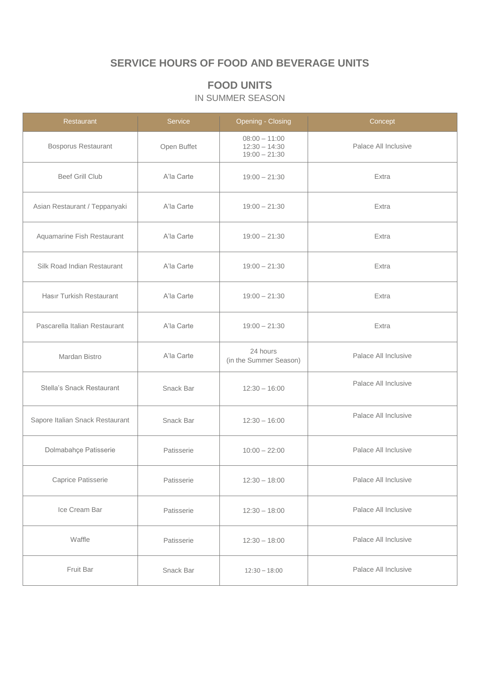## **SERVICE HOURS OF FOOD AND BEVERAGE UNITS**

## **FOOD UNITS**

#### IN SUMMER SEASON

| Restaurant                      | Service     | <b>Opening - Closing</b>                              | Concept              |
|---------------------------------|-------------|-------------------------------------------------------|----------------------|
| Bosporus Restaurant             | Open Buffet | $08:00 - 11:00$<br>$12:30 - 14:30$<br>$19:00 - 21:30$ | Palace All Inclusive |
| <b>Beef Grill Club</b>          | A'la Carte  | $19:00 - 21:30$                                       | Extra                |
| Asian Restaurant / Teppanyaki   | A'la Carte  | $19:00 - 21:30$                                       | Extra                |
| Aquamarine Fish Restaurant      | A'la Carte  | $19:00 - 21:30$                                       | Extra                |
| Silk Road Indian Restaurant     | A'la Carte  | $19:00 - 21:30$                                       | Extra                |
| Hasır Turkish Restaurant        | A'la Carte  | $19:00 - 21:30$                                       | Extra                |
| Pascarella Italian Restaurant   | A'la Carte  | $19:00 - 21:30$                                       | Extra                |
| Mardan Bistro                   | A'la Carte  | 24 hours<br>(in the Summer Season)                    | Palace All Inclusive |
| Stella's Snack Restaurant       | Snack Bar   | $12:30 - 16:00$                                       | Palace All Inclusive |
| Sapore Italian Snack Restaurant | Snack Bar   | $12:30 - 16:00$                                       | Palace All Inclusive |
| Dolmabahçe Patisserie           | Patisserie  | $10:00 - 22:00$                                       | Palace All Inclusive |
| Caprice Patisserie              | Patisserie  | $12:30 - 18:00$                                       | Palace All Inclusive |
| Ice Cream Bar                   | Patisserie  | $12:30 - 18:00$                                       | Palace All Inclusive |
| Waffle                          | Patisserie  | $12:30 - 18:00$                                       | Palace All Inclusive |
| Fruit Bar                       | Snack Bar   | $12:30 - 18:00$                                       | Palace All Inclusive |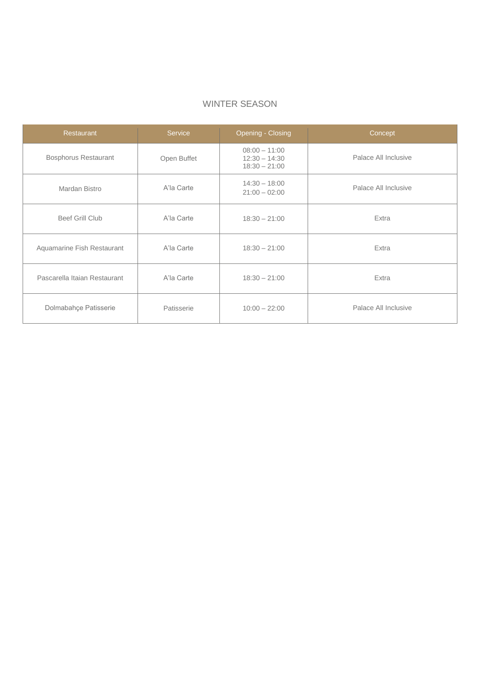| <b>Restaurant</b>            | Service     | Opening - Closing                                     | Concept              |
|------------------------------|-------------|-------------------------------------------------------|----------------------|
| <b>Bosphorus Restaurant</b>  | Open Buffet | $08:00 - 11:00$<br>$12:30 - 14:30$<br>$18:30 - 21:00$ | Palace All Inclusive |
| Mardan Bistro                | A'la Carte  | $14:30 - 18:00$<br>$21:00 - 02:00$                    | Palace All Inclusive |
| <b>Beef Grill Club</b>       | A'la Carte  | $18:30 - 21:00$                                       | Extra                |
| Aquamarine Fish Restaurant   | A'la Carte  | $18:30 - 21:00$                                       | Extra                |
| Pascarella Itaian Restaurant | A'la Carte  | $18:30 - 21:00$                                       | Extra                |
| Dolmabahçe Patisserie        | Patisserie  | $10:00 - 22:00$                                       | Palace All Inclusive |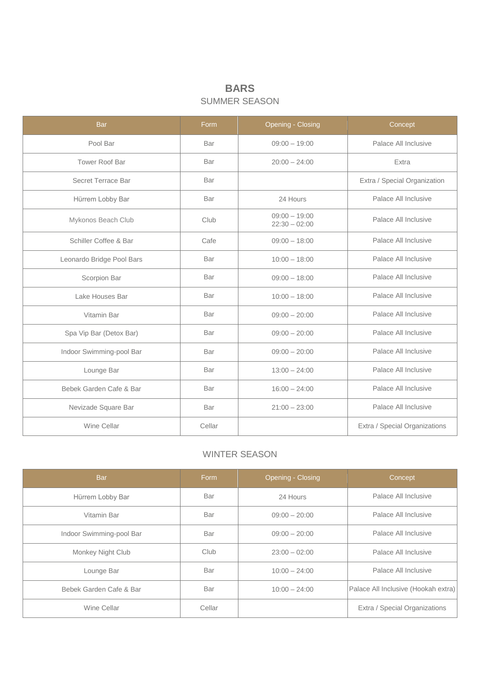## **BARS** SUMMER SEASON

| <b>Bar</b>                | Form   | <b>Opening - Closing</b>           | Concept                       |
|---------------------------|--------|------------------------------------|-------------------------------|
| Pool Bar                  | Bar    | $09:00 - 19:00$                    | Palace All Inclusive          |
| <b>Tower Roof Bar</b>     | Bar    | $20:00 - 24:00$                    | Extra                         |
| Secret Terrace Bar        | Bar    |                                    | Extra / Special Organization  |
| Hürrem Lobby Bar          | Bar    | 24 Hours                           | Palace All Inclusive          |
| Mykonos Beach Club        | Club   | $09:00 - 19:00$<br>$22:30 - 02:00$ | Palace All Inclusive          |
| Schiller Coffee & Bar     | Cafe   | $09:00 - 18:00$                    | Palace All Inclusive          |
| Leonardo Bridge Pool Bars | Bar    | $10:00 - 18:00$                    | Palace All Inclusive          |
| Scorpion Bar              | Bar    | $09:00 - 18:00$                    | Palace All Inclusive          |
| Lake Houses Bar           | Bar    | $10:00 - 18:00$                    | Palace All Inclusive          |
| Vitamin Bar               | Bar    | $09:00 - 20:00$                    | Palace All Inclusive          |
| Spa Vip Bar (Detox Bar)   | Bar    | $09:00 - 20:00$                    | Palace All Inclusive          |
| Indoor Swimming-pool Bar  | Bar    | $09:00 - 20:00$                    | Palace All Inclusive          |
| Lounge Bar                | Bar    | $13:00 - 24:00$                    | Palace All Inclusive          |
| Bebek Garden Cafe & Bar   | Bar    | $16:00 - 24:00$                    | Palace All Inclusive          |
| Nevizade Square Bar       | Bar    | $21:00 - 23:00$                    | Palace All Inclusive          |
| Wine Cellar               | Cellar |                                    | Extra / Special Organizations |

| <b>Bar</b>               | Eorm   | Opening - Closing | Concept                             |
|--------------------------|--------|-------------------|-------------------------------------|
| Hürrem Lobby Bar         | Bar    | 24 Hours          | Palace All Inclusive                |
| Vitamin Bar              | Bar    | $09:00 - 20:00$   | Palace All Inclusive                |
| Indoor Swimming-pool Bar | Bar    | $09:00 - 20:00$   | Palace All Inclusive                |
| Monkey Night Club        | Club   | $23:00 - 02:00$   | Palace All Inclusive                |
| Lounge Bar               | Bar    | $10:00 - 24:00$   | Palace All Inclusive                |
| Bebek Garden Cafe & Bar  | Bar    | $10:00 - 24:00$   | Palace All Inclusive (Hookah extra) |
| Wine Cellar              | Cellar |                   | Extra / Special Organizations       |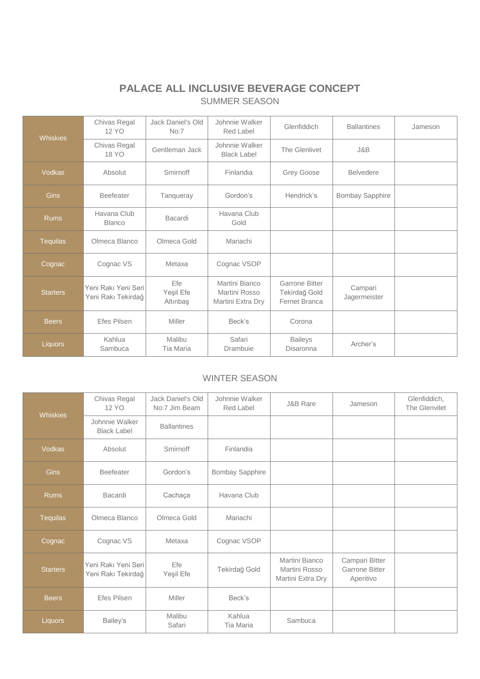## **PALACE ALL INCLUSIVE BEVERAGE CONCEPT** SUMMER SEASON

| <b>Whiskies</b> | Chivas Regal<br>12 YO                     | Jack Daniel's Old<br>No:7    | Johnnie Walker<br>Red Label                          | Glenfiddich                                                    | <b>Ballantines</b>      | Jameson |
|-----------------|-------------------------------------------|------------------------------|------------------------------------------------------|----------------------------------------------------------------|-------------------------|---------|
|                 | Chivas Regal<br>18 YO                     | Gentleman Jack               | Johnnie Walker<br><b>Black Label</b>                 | The Glenlivet                                                  | J&B                     |         |
| <b>Vodkas</b>   | Absolut                                   | Smirnoff                     | Finlandia                                            | Grey Goose                                                     | <b>Belvedere</b>        |         |
| <b>Gins</b>     | <b>Beefeater</b>                          | Tanqueray                    | Gordon's                                             | Hendrick's                                                     | Bombay Sapphire         |         |
| <b>Rums</b>     | Havana Club<br><b>Blanco</b>              | Bacardi                      | Havana Club<br>Gold                                  |                                                                |                         |         |
| <b>Tequilas</b> | Olmeca Blanco                             | Olmeca Gold                  | Mariachi                                             |                                                                |                         |         |
| Cognac          | Cognac VS                                 | Metaxa                       | Cognac VSOP                                          |                                                                |                         |         |
| <b>Starters</b> | Yeni Rakı Yeni Seri<br>Yeni Rakı Tekirdağ | Efe<br>Yeşil Efe<br>Altınbaş | Martini Bianco<br>Martini Rosso<br>Martini Extra Dry | <b>Garrone Bitter</b><br>Tekirdağ Gold<br><b>Fernet Branca</b> | Campari<br>Jagermeister |         |
| <b>Beers</b>    | <b>Efes Pilsen</b>                        | Miller                       | Beck's                                               | Corona                                                         |                         |         |
| <b>Liquors</b>  | Kahlua<br>Sambuca                         | Malibu<br>Tia Maria          | Safari<br>Drambuie                                   | <b>Baileys</b><br>Disaronna                                    | Archer's                |         |

| <b>Whiskies</b> | Chivas Regal<br>12 YO                     | Jack Daniel's Old<br>No:7 Jim Beam | Johnnie Walker<br>Red Label | <b>J&amp;B Rare</b>                                  | Jameson                                              | Glenfiddich,<br>The Glenvilet |
|-----------------|-------------------------------------------|------------------------------------|-----------------------------|------------------------------------------------------|------------------------------------------------------|-------------------------------|
|                 | Johnnie Walker<br><b>Black Label</b>      | <b>Ballantines</b>                 |                             |                                                      |                                                      |                               |
| <b>Vodkas</b>   | Absolut                                   | Smirnoff                           | Finlandia                   |                                                      |                                                      |                               |
| <b>Gins</b>     | <b>Beefeater</b>                          | Gordon's                           | Bombay Sapphire             |                                                      |                                                      |                               |
| <b>Rums</b>     | Bacardi                                   | Cachaça                            | Havana Club                 |                                                      |                                                      |                               |
| <b>Tequilas</b> | Olmeca Blanco                             | Olmeca Gold                        | Mariachi                    |                                                      |                                                      |                               |
| Cognac          | Cognac VS                                 | Metaxa                             | Cognac VSOP                 |                                                      |                                                      |                               |
| <b>Starters</b> | Yeni Rakı Yeni Seri<br>Yeni Rakı Tekirdağ | Efe<br>Yeşil Efe                   | Tekirdağ Gold               | Martini Bianco<br>Martini Rosso<br>Martini Extra Dry | Campari Bitter<br><b>Garrone Bitter</b><br>Aperitivo |                               |
| <b>Beers</b>    | Efes Pilsen                               | Miller                             | Beck's                      |                                                      |                                                      |                               |
| Liquors         | Bailey's                                  | Malibu<br>Safari                   | Kahlua<br><b>Tia Maria</b>  | Sambuca                                              |                                                      |                               |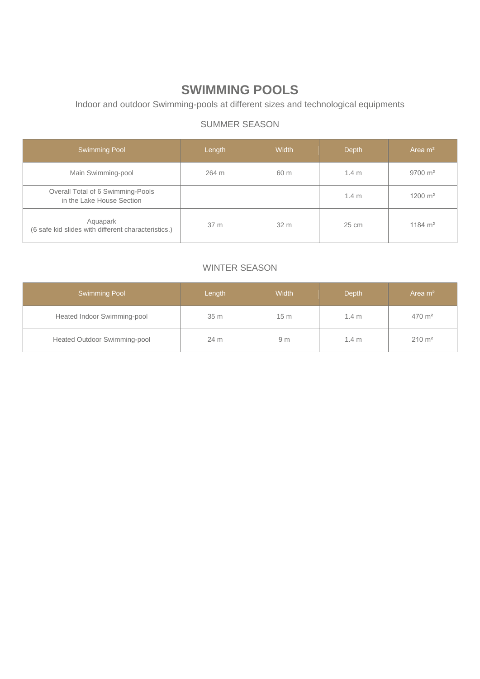# **SWIMMING POOLS**

Indoor and outdoor Swimming-pools at different sizes and technological equipments

## SUMMER SEASON

| <b>Swimming Pool</b>                                            | Length | Width | <b>Depth</b>     | Area $m2$            |
|-----------------------------------------------------------------|--------|-------|------------------|----------------------|
| Main Swimming-pool                                              | 264 m  | 60 m  | 1.4 <sub>m</sub> | $9700 \; \text{m}^2$ |
| Overall Total of 6 Swimming-Pools<br>in the Lake House Section  |        |       | 1.4 <sub>m</sub> | $1200 \text{ m}^2$   |
| Aquapark<br>(6 safe kid slides with different characteristics.) | 37 m   | 32 m  | 25 cm            | $1184 \text{ m}^2$   |

| Swimming Pool                | Width<br>Length |                 | <b>Depth</b>     | Area $m2$         |  |
|------------------------------|-----------------|-----------------|------------------|-------------------|--|
| Heated Indoor Swimming-pool  | 35 m            | 15 <sub>m</sub> | $1.4 \text{ m}$  | $470 \text{ m}^2$ |  |
| Heated Outdoor Swimming-pool | 24 m            | 9 <sub>m</sub>  | 1.4 <sub>m</sub> | $210 \text{ m}^2$ |  |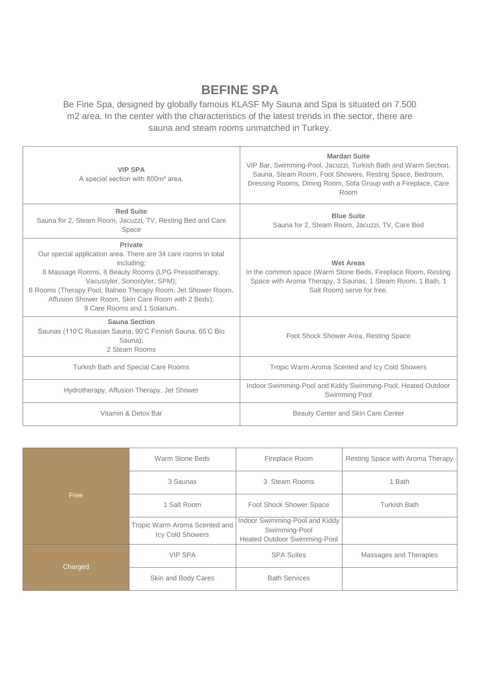# **BEFINE SPA**

Be Fine Spa, designed by globally famous KLASF My Sauna and Spa is situated on 7.500 m2 area. In the center with the characteristics of the latest trends in the sector, there are sauna and steam rooms unmatched in Turkey.

| <b>VIP SPA</b><br>A special section with 800m <sup>2</sup> area.                                                                                                                                                                                                                                                                      | <b>Mardan Suite</b><br>VIP Bar, Swimming-Pool, Jacuzzi, Turkish Bath and Warm Section,<br>Sauna, Steam Room, Foot Showers, Resting Space, Bedroom,<br>Dressing Rooms, Dining Room, Sofa Group with a Fireplace, Care<br>Room |
|---------------------------------------------------------------------------------------------------------------------------------------------------------------------------------------------------------------------------------------------------------------------------------------------------------------------------------------|------------------------------------------------------------------------------------------------------------------------------------------------------------------------------------------------------------------------------|
| <b>Red Suite</b><br>Sauna for 2, Steam Room, Jacuzzi, TV, Resting Bed and Care<br>Space                                                                                                                                                                                                                                               | <b>Blue Suite</b><br>Sauna for 2, Steam Room, Jacuzzi, TV, Care Bed                                                                                                                                                          |
| Private<br>Our special application area. There are 34 care rooms in total<br>including:<br>8 Massage Rooms, 8 Beauty Rooms (LPG Pressotherapy,<br>Vacustyler, Sonostyler, SPM);<br>8 Rooms (Therapy Pool, Balneo Therapy Room, Jet Shower Room,<br>Affusion Shower Room, Skin Care Room with 2 Beds);<br>9 Care Rooms and 1 Solarium. | <b>Wet Areas</b><br>In the common space (Warm Stone Beds, Fireplace Room, Resting<br>Space with Aroma Therapy, 3 Saunas, 1 Steam Room, 1 Bath, 1<br>Salt Room) serve for free.                                               |
| <b>Sauna Section</b><br>Saunas (110°C Russian Sauna, 90°C Finnish Sauna, 65°C Bio<br>Sauna);<br>2 Steam Rooms                                                                                                                                                                                                                         | Foot Shock Shower Area, Resting Space                                                                                                                                                                                        |
| <b>Turkish Bath and Special Care Rooms</b>                                                                                                                                                                                                                                                                                            | Tropic Warm Aroma Scented and Icy Cold Showers                                                                                                                                                                               |
| Hydrotherapy, Affusion Therapy, Jet Shower                                                                                                                                                                                                                                                                                            | Indoor Swimming-Pool and Kiddy Swimming-Pool, Heated Outdoor<br>Swimming Pool                                                                                                                                                |
| Vitamin & Detox Bar                                                                                                                                                                                                                                                                                                                   | Beauty Center and Skin Care Center                                                                                                                                                                                           |

|                 | Warm Stone Beds                                   | Fireplace Room                                                                  | Resting Space with Aroma Therapy |  |
|-----------------|---------------------------------------------------|---------------------------------------------------------------------------------|----------------------------------|--|
| Free<br>Charged | 3 Saunas                                          | 3 Steam Rooms                                                                   | 1 Bath                           |  |
|                 | 1 Salt Room                                       | Foot Shock Shower Space                                                         | <b>Turkish Bath</b>              |  |
|                 | Tropic Warm Aroma Scented and<br>Icy Cold Showers | Indoor Swimming-Pool and Kiddy<br>Swimming-Pool<br>Heated Outdoor Swimming-Pool |                                  |  |
|                 | <b>VIP SPA</b>                                    | <b>SPA Suites</b>                                                               | Massages and Therapies           |  |
|                 | Skin and Body Cares                               | <b>Bath Services</b>                                                            |                                  |  |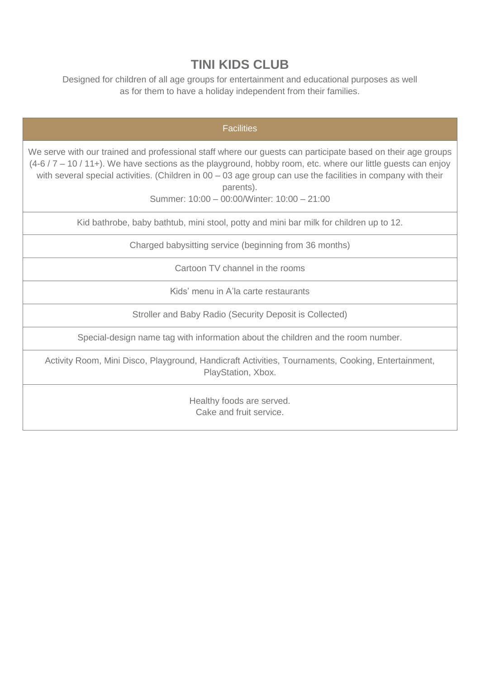# **TINI KIDS CLUB**

Designed for children of all age groups for entertainment and educational purposes as well as for them to have a holiday independent from their families.

| <b>Facilities</b>                                                                                                                                                                                                                                                                                                                                                                                    |
|------------------------------------------------------------------------------------------------------------------------------------------------------------------------------------------------------------------------------------------------------------------------------------------------------------------------------------------------------------------------------------------------------|
| We serve with our trained and professional staff where our guests can participate based on their age groups<br>$(4-6/7-10/11+)$ . We have sections as the playground, hobby room, etc. where our little guests can enjoy<br>with several special activities. (Children in 00 - 03 age group can use the facilities in company with their<br>parents).<br>Summer: 10:00 - 00:00/Winter: 10:00 - 21:00 |
| Kid bathrobe, baby bathtub, mini stool, potty and mini bar milk for children up to 12.                                                                                                                                                                                                                                                                                                               |
| Charged babysitting service (beginning from 36 months)                                                                                                                                                                                                                                                                                                                                               |
| Cartoon TV channel in the rooms                                                                                                                                                                                                                                                                                                                                                                      |
| Kids' menu in A'la carte restaurants                                                                                                                                                                                                                                                                                                                                                                 |
| Stroller and Baby Radio (Security Deposit is Collected)                                                                                                                                                                                                                                                                                                                                              |
| Special-design name tag with information about the children and the room number.                                                                                                                                                                                                                                                                                                                     |
| Activity Room, Mini Disco, Playground, Handicraft Activities, Tournaments, Cooking, Entertainment,<br>PlayStation, Xbox.                                                                                                                                                                                                                                                                             |
| Healthy foods are served.                                                                                                                                                                                                                                                                                                                                                                            |

Cake and fruit service.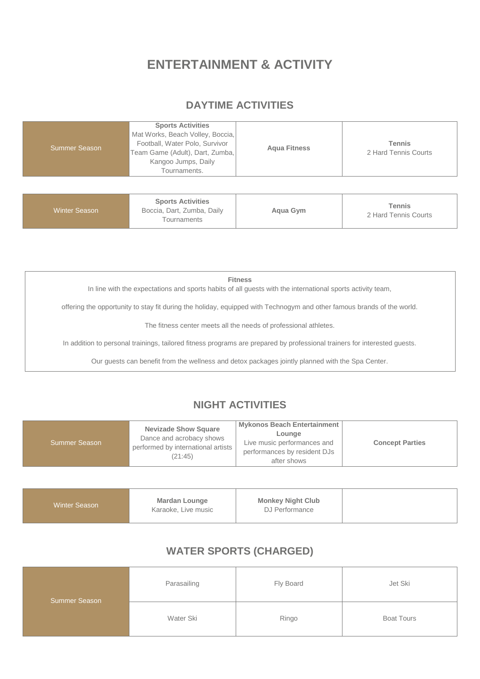# **ENTERTAINMENT & ACTIVITY**

#### **DAYTIME ACTIVITIES**

|  | <b>Summer Season</b> | <b>Sports Activities</b><br>Mat Works, Beach Volley, Boccia,<br>Football, Water Polo, Survivor<br>Team Game (Adult), Dart, Zumba,<br>Kangoo Jumps, Daily<br>Tournaments. | <b>Agua Fitness</b> | <b>Tennis</b><br>2 Hard Tennis Courts |
|--|----------------------|--------------------------------------------------------------------------------------------------------------------------------------------------------------------------|---------------------|---------------------------------------|
|--|----------------------|--------------------------------------------------------------------------------------------------------------------------------------------------------------------------|---------------------|---------------------------------------|

| <b>Sports Activities</b><br>Winter Season<br>Boccia, Dart, Zumba, Daily<br>Agua Gym<br>Tournaments | Tennis<br>2 Hard Tennis Courts |
|----------------------------------------------------------------------------------------------------|--------------------------------|
|----------------------------------------------------------------------------------------------------|--------------------------------|

**Fitness**

In line with the expectations and sports habits of all guests with the international sports activity team,

offering the opportunity to stay fit during the holiday, equipped with Technogym and other famous brands of the world.

The fitness center meets all the needs of professional athletes.

In addition to personal trainings, tailored fitness programs are prepared by professional trainers for interested guests.

Our guests can benefit from the wellness and detox packages jointly planned with the Spa Center.

## **NIGHT ACTIVITIES**

| <b>Nevizade Show Square</b><br>Dance and acrobacy shows<br><b>Summer Season</b><br>performed by international artists<br>(21:45) | Mykonos Beach Entertainment<br>Lounge<br>Live music performances and<br>performances by resident DJs<br>after shows | <b>Concept Parties</b> |
|----------------------------------------------------------------------------------------------------------------------------------|---------------------------------------------------------------------------------------------------------------------|------------------------|
|----------------------------------------------------------------------------------------------------------------------------------|---------------------------------------------------------------------------------------------------------------------|------------------------|

| <b>Monkey Night Club</b><br>DJ Performance |  |  |
|--------------------------------------------|--|--|
|--------------------------------------------|--|--|

#### **WATER SPORTS (CHARGED)**

| <b>Summer Season</b> | Parasailing | Fly Board | Jet Ski           |
|----------------------|-------------|-----------|-------------------|
|                      | Water Ski   | Ringo     | <b>Boat Tours</b> |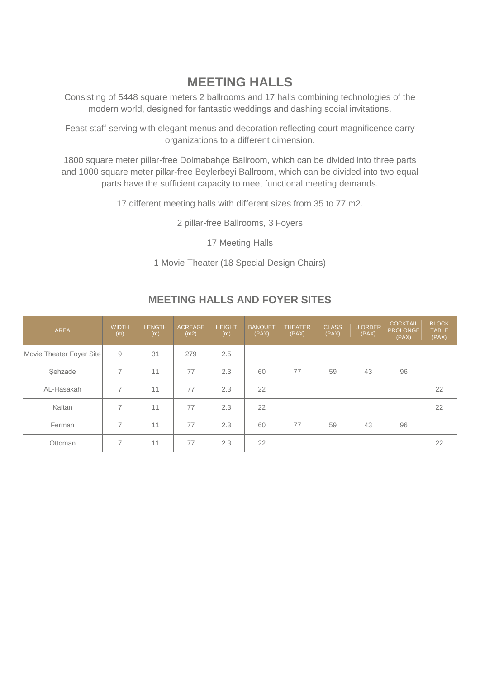# **MEETING HALLS**

Consisting of 5448 square meters 2 ballrooms and 17 halls combining technologies of the modern world, designed for fantastic weddings and dashing social invitations.

Feast staff serving with elegant menus and decoration reflecting court magnificence carry organizations to a different dimension.

1800 square meter pillar-free Dolmabahçe Ballroom, which can be divided into three parts and 1000 square meter pillar-free Beylerbeyi Ballroom, which can be divided into two equal parts have the sufficient capacity to meet functional meeting demands.

17 different meeting halls with different sizes from 35 to 77 m2.

2 pillar-free Ballrooms, 3 Foyers

17 Meeting Halls

1 Movie Theater (18 Special Design Chairs)

| <b>AREA</b>              | <b>WIDTH</b><br>(m) | <b>LENGTH</b><br>(m) | <b>ACREAGE</b><br>(m2) | <b>HEIGHT</b><br>(m) | <b>BANQUET</b><br>(PAX) | <b>THEATER</b><br>(PAX) | <b>CLASS</b><br>(PAX) | <b>U ORDER</b><br>(PAX) | <b>COCKTAIL</b><br><b>PROLONGE</b><br>(PAX) | <b>BLOCK</b><br><b>TABLE</b><br>(PAX) |
|--------------------------|---------------------|----------------------|------------------------|----------------------|-------------------------|-------------------------|-----------------------|-------------------------|---------------------------------------------|---------------------------------------|
| Movie Theater Foyer Site | 9                   | 31                   | 279                    | 2.5                  |                         |                         |                       |                         |                                             |                                       |
| Şehzade                  | 7                   | 11                   | 77                     | 2.3                  | 60                      | 77                      | 59                    | 43                      | 96                                          |                                       |
| AL-Hasakah               | $\overline{7}$      | 11                   | 77                     | 2.3                  | 22                      |                         |                       |                         |                                             | 22                                    |
| Kaftan                   | $\overline{7}$      | 11                   | 77                     | 2.3                  | 22                      |                         |                       |                         |                                             | 22                                    |
| Ferman                   | 7                   | 11                   | 77                     | 2.3                  | 60                      | 77                      | 59                    | 43                      | 96                                          |                                       |
| Ottoman                  |                     | 11                   | 77                     | 2.3                  | 22                      |                         |                       |                         |                                             | 22                                    |

#### **MEETING HALLS AND FOYER SITES**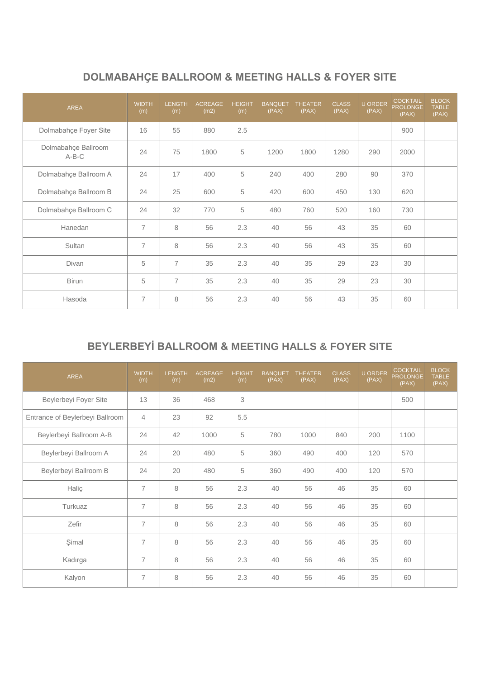# **DOLMABAHÇE BALLROOM & MEETING HALLS & FOYER SITE**

| <b>AREA</b>                    | <b>WIDTH</b><br>(m) | <b>LENGTH</b><br>(m) | <b>ACREAGE</b><br>(m2) | <b>HEIGHT</b><br>(m) | <b>BANQUET</b><br>(PAX) | <b>THEATER</b><br>(PAX) | <b>CLASS</b><br>(PAX) | <b>U ORDER</b><br>(PAX) | <b>COCKTAIL</b><br><b>PROLONGE</b><br>(PAX) | <b>BLOCK</b><br><b>TABLE</b><br>(PAX) |
|--------------------------------|---------------------|----------------------|------------------------|----------------------|-------------------------|-------------------------|-----------------------|-------------------------|---------------------------------------------|---------------------------------------|
| Dolmabahçe Foyer Site          | 16                  | 55                   | 880                    | 2.5                  |                         |                         |                       |                         | 900                                         |                                       |
| Dolmabahçe Ballroom<br>$A-B-C$ | 24                  | 75                   | 1800                   | 5                    | 1200                    | 1800                    | 1280                  | 290                     | 2000                                        |                                       |
| Dolmabahçe Ballroom A          | 24                  | 17                   | 400                    | 5                    | 240                     | 400                     | 280                   | 90                      | 370                                         |                                       |
| Dolmabahçe Ballroom B          | 24                  | 25                   | 600                    | 5                    | 420                     | 600                     | 450                   | 130                     | 620                                         |                                       |
| Dolmabahçe Ballroom C          | 24                  | 32                   | 770                    | 5                    | 480                     | 760                     | 520                   | 160                     | 730                                         |                                       |
| Hanedan                        | $\overline{7}$      | 8                    | 56                     | 2.3                  | 40                      | 56                      | 43                    | 35                      | 60                                          |                                       |
| Sultan                         | $\overline{7}$      | 8                    | 56                     | 2.3                  | 40                      | 56                      | 43                    | 35                      | 60                                          |                                       |
| Divan                          | 5                   | $\overline{7}$       | 35                     | 2.3                  | 40                      | 35                      | 29                    | 23                      | 30                                          |                                       |
| <b>Birun</b>                   | 5                   | $\overline{7}$       | 35                     | 2.3                  | 40                      | 35                      | 29                    | 23                      | 30                                          |                                       |
| Hasoda                         | $\overline{7}$      | 8                    | 56                     | 2.3                  | 40                      | 56                      | 43                    | 35                      | 60                                          |                                       |

# **BEYLERBEYİ BALLROOM & MEETING HALLS & FOYER SITE**

| <b>AREA</b>                     | <b>WIDTH</b><br>(m) | <b>LENGTH</b><br>(m) | <b>ACREAGE</b><br>(m2) | <b>HEIGHT</b><br>(m) | <b>BANQUET</b><br>(PAX) | <b>THEATER</b><br>(PAX) | <b>CLASS</b><br>(PAX) | <b>U ORDER</b><br>(PAX) | <b>COCKTAIL</b><br><b>PROLONGE</b><br>(PAX) | <b>BLOCK</b><br><b>TABLE</b><br>(PAX) |
|---------------------------------|---------------------|----------------------|------------------------|----------------------|-------------------------|-------------------------|-----------------------|-------------------------|---------------------------------------------|---------------------------------------|
| Beylerbeyi Foyer Site           | 13                  | 36                   | 468                    | 3                    |                         |                         |                       |                         | 500                                         |                                       |
| Entrance of Beylerbeyi Ballroom | $\overline{4}$      | 23                   | 92                     | 5.5                  |                         |                         |                       |                         |                                             |                                       |
| Beylerbeyi Ballroom A-B         | 24                  | 42                   | 1000                   | 5                    | 780                     | 1000                    | 840                   | 200                     | 1100                                        |                                       |
| Beylerbeyi Ballroom A           | 24                  | 20                   | 480                    | 5                    | 360                     | 490                     | 400                   | 120                     | 570                                         |                                       |
| Beylerbeyi Ballroom B           | 24                  | 20                   | 480                    | 5                    | 360                     | 490                     | 400                   | 120                     | 570                                         |                                       |
| Haliç                           | $\overline{7}$      | 8                    | 56                     | 2.3                  | 40                      | 56                      | 46                    | 35                      | 60                                          |                                       |
| Turkuaz                         | $\overline{7}$      | 8                    | 56                     | 2.3                  | 40                      | 56                      | 46                    | 35                      | 60                                          |                                       |
| Zefir                           | $\overline{7}$      | 8                    | 56                     | 2.3                  | 40                      | 56                      | 46                    | 35                      | 60                                          |                                       |
| Şimal                           | $\overline{7}$      | 8                    | 56                     | 2.3                  | 40                      | 56                      | 46                    | 35                      | 60                                          |                                       |
| Kadırga                         | $\overline{7}$      | 8                    | 56                     | 2.3                  | 40                      | 56                      | 46                    | 35                      | 60                                          |                                       |
| Kalyon                          | $\overline{7}$      | 8                    | 56                     | 2.3                  | 40                      | 56                      | 46                    | 35                      | 60                                          |                                       |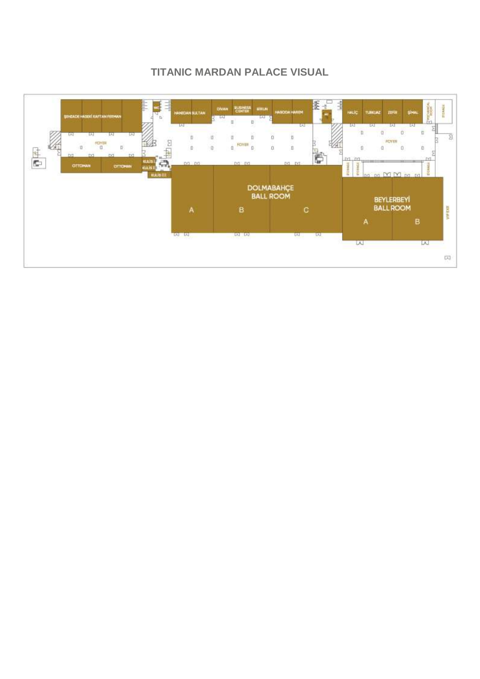## **TITANIC MARDAN PALACE VISUAL**

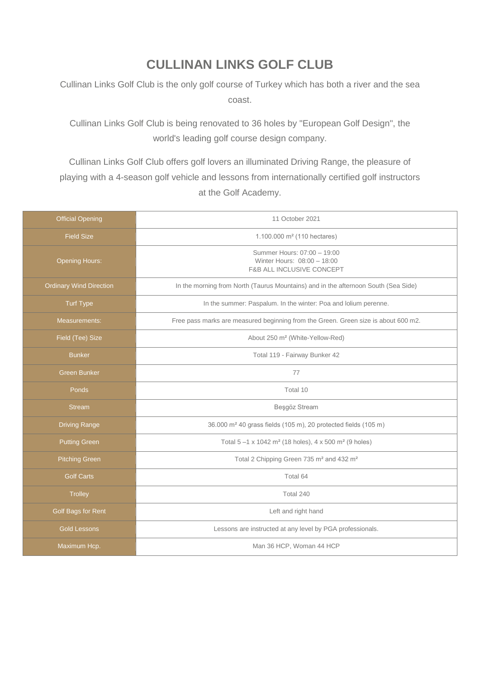# **CULLINAN LINKS GOLF CLUB**

Cullinan Links Golf Club is the only golf course of Turkey which has both a river and the sea coast.

Cullinan Links Golf Club is being renovated to 36 holes by "European Golf Design", the world's leading golf course design company.

Cullinan Links Golf Club offers golf lovers an illuminated Driving Range, the pleasure of playing with a 4-season golf vehicle and lessons from internationally certified golf instructors at the Golf Academy.

| <b>Official Opening</b>        | 11 October 2021                                                                                    |  |  |  |  |
|--------------------------------|----------------------------------------------------------------------------------------------------|--|--|--|--|
| <b>Field Size</b>              | 1.100.000 $m^2$ (110 hectares)                                                                     |  |  |  |  |
| <b>Opening Hours:</b>          | Summer Hours: 07:00 - 19:00<br>Winter Hours: 08:00 - 18:00<br><b>F&amp;B ALL INCLUSIVE CONCEPT</b> |  |  |  |  |
| <b>Ordinary Wind Direction</b> | In the morning from North (Taurus Mountains) and in the afternoon South (Sea Side)                 |  |  |  |  |
| <b>Turf Type</b>               | In the summer: Paspalum. In the winter: Poa and lolium perenne.                                    |  |  |  |  |
| Measurements:                  | Free pass marks are measured beginning from the Green. Green size is about 600 m2.                 |  |  |  |  |
| Field (Tee) Size               | About 250 m <sup>2</sup> (White-Yellow-Red)                                                        |  |  |  |  |
| <b>Bunker</b>                  | Total 119 - Fairway Bunker 42                                                                      |  |  |  |  |
| <b>Green Bunker</b>            | 77                                                                                                 |  |  |  |  |
| Ponds                          | Total 10                                                                                           |  |  |  |  |
| <b>Stream</b>                  | Beşgöz Stream                                                                                      |  |  |  |  |
| <b>Driving Range</b>           | 36.000 m <sup>2</sup> 40 grass fields (105 m), 20 protected fields (105 m)                         |  |  |  |  |
| <b>Putting Green</b>           | Total 5-1 x 1042 m <sup>2</sup> (18 holes), 4 x 500 m <sup>2</sup> (9 holes)                       |  |  |  |  |
| <b>Pitching Green</b>          | Total 2 Chipping Green 735 m <sup>2</sup> and 432 m <sup>2</sup>                                   |  |  |  |  |
| <b>Golf Carts</b>              | Total 64                                                                                           |  |  |  |  |
| <b>Trolley</b>                 | Total 240                                                                                          |  |  |  |  |
| Golf Bags for Rent             | Left and right hand                                                                                |  |  |  |  |
| <b>Gold Lessons</b>            | Lessons are instructed at any level by PGA professionals.                                          |  |  |  |  |
| Maximum Hcp.                   | Man 36 HCP, Woman 44 HCP                                                                           |  |  |  |  |